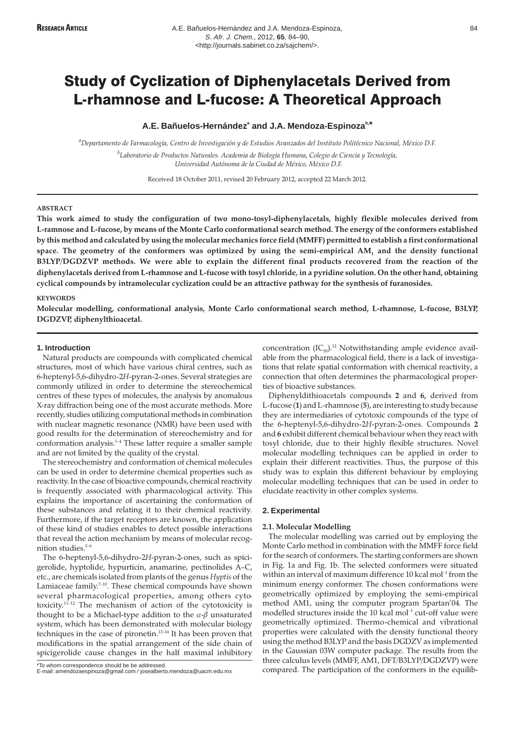# Study of Cyclization of Diphenylacetals Derived from L-rhamnose and L-fucose: A Theoretical Approach

# **A.E. Bañuelos-Hernández<sup>a</sup> and J.A. Mendoza-Espinozab,\***

*a Departamento de Farmacología, Centro de Investigación y de Estudios Avanzados del Instituto Politécnico Nacional, México D.F. b Laboratorio de Productos Naturales. Academia de Biología Humana, Colegio de Ciencia y Tecnología, Universidad Autónoma de la Ciudad de México, México D.F.*

Received 18 October 2011, revised 20 February 2012, accepted 22 March 2012.

### **ABSTRACT**

**This work aimed to study the configuration of two mono-tosyl-diphenylacetals, highly flexible molecules derived from L-ramnose and L-fucose, by means of the Monte Carlo conformational search method. The energy of the conformers established by this method and calculated by using the molecular mechanics force field (MMFF) permitted to establish a first conformational** space. The geometry of the conformers was optimized by using the semi-empirical AM<sub>1</sub> and the density functional **B3LYP/DGDZVP methods. We were able to explain the different final products recovered from the reaction of the diphenylacetals derived from L-rhamnose and L-fucose with tosyl chloride, in a pyridine solution. On the other hand, obtaining cyclical compounds by intramolecular cyclization could be an attractive pathway for the synthesis of furanosides.**

### **KEYWORDS**

**Molecular modelling, conformational analysis, Monte Carlo conformational search method, L-rhamnose, L-fucose, B3LYP, DGDZVP, diphenylthioacetal.**

## **1. Introduction**

Natural products are compounds with complicated chemical structures, most of which have various chiral centres, such as 6-heptenyl-5,6-dihydro-2*H*-pyran-2-ones. Several strategies are commonly utilized in order to determine the stereochemical centres of these types of molecules, the analysis by anomalous X-ray diffraction being one of the most accurate methods. More recently, studies utilizing computational methods in combination with nuclear magnetic resonance (NMR) have been used with good results for the determination of stereochemistry and for conformation analysis. $1-4$  These latter require a smaller sample and are not limited by the quality of the crystal.

The stereochemistry and conformation of chemical molecules can be used in order to determine chemical properties such as reactivity. In the case of bioactive compounds, chemical reactivity is frequently associated with pharmacological activity. This explains the importance of ascertaining the conformation of these substances and relating it to their chemical reactivity. Furthermore, if the target receptors are known, the application of these kind of studies enables to detect possible interactions that reveal the action mechanism by means of molecular recognition studies. $5-6$ 

The 6-heptenyl-5,6-dihydro-2*H*-pyran-2-ones, such as spicigerolide, hyptolide, hypurticin, anamarine, pectinolides A–C, etc., are chemicals isolated from plants of the genus *Hyptis* of the Lamiaceae family.<sup>7-10</sup>. These chemical compounds have shown several pharmacological properties, among others cytotoxicity.11–12 The mechanism of action of the cytotoxicity is thought to be a Michael-type addition to the  $\alpha$ - $\beta$  unsaturated system, which has been demonstrated with molecular biology techniques in the case of pironetin.13–14 It has been proven that modifications in the spatial arrangement of the side chain of spicigerolide cause changes in the half maximal inhibitory

\*To whom correspondence should be be addressed. E-mail: amendozaespinoza@gmail.com / josealberto.mendoza@uacm.edu.mx

concentration  $(IC_{50})$ .<sup>12</sup> Notwithstanding ample evidence available from the pharmacological field, there is a lack of investigations that relate spatial conformation with chemical reactivity, a connection that often determines the pharmacological properties of bioactive substances.

Diphenyldithioacetals compounds **2** and **6,** derived from L-fucose (**1**) and L-rhamnose (**5**), are interesting to study because they are intermediaries of cytotoxic compounds of the type of the 6-heptenyl-5,6-dihydro-2*H*-pyran-2-ones. Compounds **2** and **6** exhibit different chemical behaviour when they react with tosyl chloride, due to their highly flexible structures. Novel molecular modelling techniques can be applied in order to explain their different reactivities. Thus, the purpose of this study was to explain this different behaviour by employing molecular modelling techniques that can be used in order to elucidate reactivity in other complex systems.

### **2. Experimental**

#### **2.1. Molecular Modelling**

The molecular modelling was carried out by employing the Monte Carlo method in combination with the MMFF force field for the search of conformers. The starting conformers are shown in Fig. 1a and Fig. 1b. The selected conformers were situated within an interval of maximum difference 10 kcal mol<sup>-1</sup> from the minimum energy conformer. The chosen conformations were geometrically optimized by employing the semi-empirical method AM1, using the computer program Spartan'04. The modelled structures inside the  $10$  kcal mol<sup>-1</sup> cut-off value were geometrically optimized. Thermo-chemical and vibrational properties were calculated with the density functional theory using the method B3LYP and the basis DGDZV as implemented in the Gaussian 03W computer package. The results from the three calculus levels (MMFF, AM1, DFT/B3LYP/DGDZVP) were compared. The participation of the conformers in the equilib-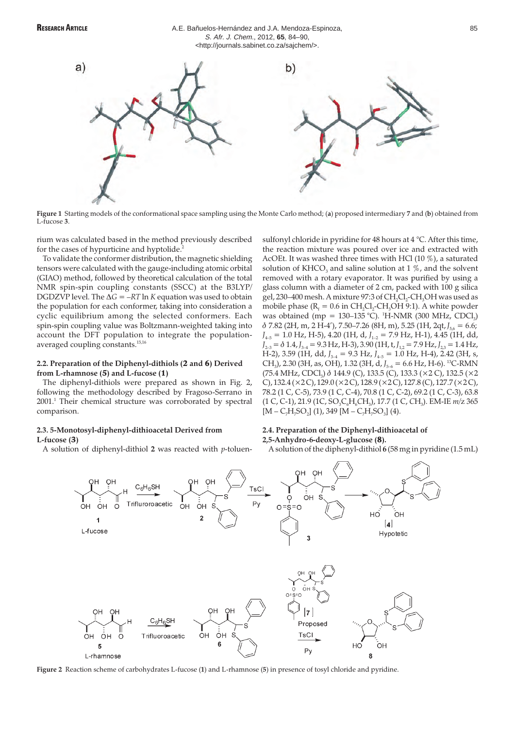

**Figure 1** Starting models of the conformational space sampling using the Monte Carlo method; (**a**) proposed intermediary **7** and (**b**) obtained from L-fucose **3**.

rium was calculated based in the method previously described for the cases of hypurticine and hyptolide.<sup>2</sup>

To validate the conformer distribution, the magnetic shielding tensors were calculated with the gauge-including atomic orbital (GIAO) method, followed by theoretical calculation of the total NMR spin-spin coupling constants (SSCC) at the B3LYP/ DGDZVP level. The  $\Delta G = -RT \ln K$  equation was used to obtain the population for each conformer, taking into consideration a cyclic equilibrium among the selected conformers. Each spin-spin coupling value was Boltzmann-weighted taking into account the DFT population to integrate the populationaveraged coupling constants.15,16

# **2.2. Preparation of the Diphenyl-dithiols (**2 **and** 6**) Derived from L-rhamnose (**5**) and L-fucose (**1**)**

The diphenyl-dithiols were prepared as shown in Fig. 2, following the methodology described by Fragoso-Serrano in 2001.1 Their chemical structure was corroborated by spectral comparison.

### **2.3. 5-Monotosyl-diphenyl-dithioacetal Derived from L-fucose (**3**)**

A solution of diphenyl-dithiol **2** was reacted with *p*-toluen-

sulfonyl chloride in pyridine for 48 hours at 4 °C. After this time, the reaction mixture was poured over ice and extracted with AcOEt. It was washed three times with HCl (10 %), a saturated solution of KHCO<sub>3</sub> and saline solution at 1  $\%$ , and the solvent removed with a rotary evaporator. It was purified by using a glass column with a diameter of 2 cm, packed with 100 g silica gel, 230-400 mesh. A mixture 97:3 of CH<sub>2</sub>Cl<sub>2</sub>-CH<sub>3</sub>OH was used as mobile phase ( $R_f = 0.6$  in  $CH_2Cl_2$ -CH<sub>3</sub>OH 9:1). A white powder was obtained (mp =  $130-135$  °C). <sup>1</sup>H-NMR (300 MHz, CDCl<sub>3</sub>)  $\delta$  7.82 (2H, m, 2 H-4'), 7.50–7.26 (8H, m), 5.25 (1H, 2qt,  $J_{56} = 6.6$ ; *J*4–5 = 1.0 Hz, H-5), 4.20 (1H, d, *J*1–2 = 7.9 Hz, H-1), 4.45 (1H, dd,  $J_{2-3} = \delta 1.4, J_{3-4} = 9.3 \text{ Hz}, \text{H-3}$ ), 3.90 (1H, t,  $J_{1,2} = 7.9 \text{ Hz}, J_{2,3} = 1.4 \text{ Hz}$ , H-2), 3.59 (1H, dd, *J*<sub>3-4</sub> = 9.3 Hz, *J*<sub>4-5</sub> = 1.0 Hz, H-4), 2.42 (3H, s, CH<sub>3</sub>), 2.30 (3H, as, OH), 1.32 (3H, d, *J*<sub>5–6</sub> = 6.6 Hz, H-6). <sup>13</sup>C-RMN (75.4 MHz, CDCl<sub>3</sub>)  $\delta$  144.9 (C), 133.5 (C), 133.3 ( $\times$ 2 C), 132.5 ( $\times$ 2 C), 132.4 (×2 C), 129.0 (×2 C), 128.9 (×2 C), 127.8 (C), 127.7 (×2 C), 78.2 (1 C, C-5), 73.9 (1 C, C-4), 70.8 (1 C, C-2), 69.2 (1 C, C-3), 63.8 (1 C, C-1), 21.9 (1 C, SO<sub>3</sub>C<sub>6</sub>H<sub>6</sub>CH<sub>3</sub>), 17.7 (1 C, CH<sub>3</sub>). EM-IE  $m/z$  365  $[M - C_7H_7SO_2]$  (1), 349  $[M - C_7H_7SO_3]$  (4).

# **2.4. Preparation of the Diphenyl-dithioacetal of**

# **2,5-Anhydro-6-deoxy-L-glucose (**8**).**

A solution of the diphenyl-dithiol **6** (58 mg in pyridine (1.5 mL)



**Figure 2** Reaction scheme of carbohydrates L-fucose (**1**) and L-rhamnose (**5**) in presence of tosyl chloride and pyridine.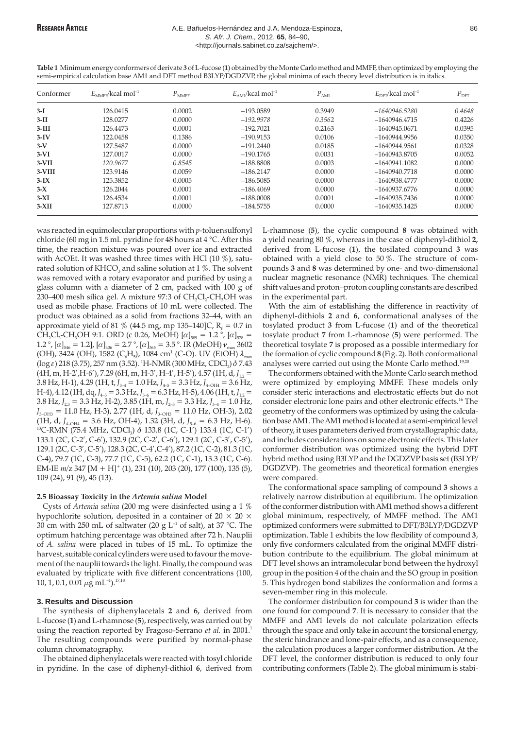### **RESEARCH ARTICLE A.E. Bañuelos-Hernández and J.A. Mendoza-Espinoza,** 86 S. Afr. J. Chem., 2012, **65**, 84–90, <http://journals.sabinet.co.za/sajchem/>.

 $\epsilon_{\rm MMFF}$ <sup>1</sup> *E*<sub>MMFF</sub>/kcal mol<sup>-1</sup> *P*<sub>MMFF</sub> *E*<sub>AM1</sub>/kcal mol<sup>-1</sup> *P*<sub>AM1</sub> *E*<sub>DFT</sub>/kcal mol<sup>-1</sup> *P*<sub>DFT</sub> **3-I** 126.0415 0.0002 –193.0589 0.3949 *–1640946.5280 0.4648* **3-II** 128.0277 0.0000 *–192.9978 0.3562* –1640946.4715 0.4226 **3-III** 126.4473 0.0001 –192.7021 0.2163 –1640945.0671 0.0395 **3-IV** 122.0458 0.1386 –190.9153 0.0106 –1640944.9956 0.0350 **3-V** 127.5487 0.0000 –191.2440 0.0185 –1640944.9561 0.0328 **3-VI** 127.0017 0.0000 –190.1765 0.0031 –1640943.8705 0.0052 **3-VII** *120.9677 0.8545* –188.8808 0.0003 –1640941.1082 0.0000 **3-VIII** 123.9146 0.0059 –186.2147 0.0000 –1640940.7718 0.0000 **3-IX** 125.3852 0.0005 –186.5085 0.0000 –1640938.4777 0.0000 **3-X** 126.2044 0.0001 –186.4069 0.0000 –1640937.6776 0.0000 **3-XI** 126.4534 0.0001 –188.0008 0.0001 –1640935.7436 0.0000 **3-XII** 127.8713 0.0000 –184.5755 0.0000 –1640935.1425 0.0000

**Table 1** Minimum energy conformers of derivate **3** of L-fucose (**1**) obtained by the Monte Carlo method and MMFF, then optimized by employing the semi-empirical calculation base AM1 and DFT method B3LYP/DGDZVP, the global minima of each theory level distribution is in italics.

was reacted in equimolecular proportions with *p*-toluensulfonyl chloride (60 mg in 1.5 mL pyridine for 48 hours at 4 °C. After this time, the reaction mixture was poured over ice and extracted with AcOEt. It was washed three times with HCl (10 %), saturated solution of  $KHCO<sub>3</sub>$  and saline solution at 1 %. The solvent was removed with a rotary evaporator and purified by using a glass column with a diameter of 2 cm, packed with 100 g of 230–400 mesh silica gel. A mixture 97:3 of  $CH_2Cl_2$ -CH<sub>3</sub>OH was used as mobile phase. Fractions of 10 mL were collected. The product was obtained as a solid from fractions 32–44, with an approximate yield of 81 % (44.5 mg, mp 135–140)C,  $R_1 = 0.7$  in CH<sub>2</sub>CH<sub>2</sub>-CH<sub>3</sub>OH 9:1. ORD (c 0.26, MeOH)  $[\alpha]_{589} = 1.2$  °,  $[\alpha]_{578} =$ 1.2 °,  $[\alpha]_{546} = 1.2$ ],  $[\alpha]_{436} = 2.7$  °,  $[\alpha]_{365} = 3.5$  °. IR (MeOH)  $\nu_{\text{max}}$  3602 (OH), 3424 (OH), 1582 (C<sub>6</sub>H<sub>5</sub>), 1084 cm<sup>1</sup> (C-O). UV (EtOH)  $\lambda_{\text{max}}$  $(\log \varepsilon)$  218 (3.75), 257 nm (3.52). <sup>1</sup>H-NMR (300 MHz, CDCl<sub>3</sub>)  $\delta$  7.43  $(4H, m, H-2', H-6'), 7.29 (6H, m, H-3', H-4', H-5'), 4.57 (1H, d, J<sub>1.2</sub> =$  $3.8$  Hz, H-1),  $4.29$  (1H, t,  $J_{3-4} = 1.0$  Hz,  $J_{4-5} = 3.3$  Hz,  $J_{4-OHA} = 3.6$  Hz, H-4), 4.12 (1H, dq,  $J_{4-5} = 3.3$  Hz,  $J_{5-6} = 6.3$  Hz, H-5), 4.06 (1H, t,  $J_{1,2} =$  $3.8$  Hz,  $J_{2,3} = 3.3$  Hz, H-2),  $3.85$  (1H, m,  $J_{2-3} = 3.3$  Hz,  $J_{3-4} = 1.0$  Hz, *J*<sub>3–OH3</sub> = 11.0 Hz, H-3), 2.77 (1H, d, *J*<sub>3–OH3</sub> = 11.0 Hz, OH-3), 2.02 (1H, d,  $J_{4-OH4} = 3.6$  Hz, OH-4), 1.32 (3H, d,  $J_{5-6} = 6.3$  Hz, H-6). <sup>13</sup>C-RMN (75.4 MHz, CDCl<sub>3</sub>)  $\delta$  133.8 (1C, C-1') 133.4 (1C, C-1') 133.1 (2C, C-2', C-6'), 132.9 (2C, C-2', C-6'), 129.1 (2C, C-3', C-5'), 129.1 (2C, C-3', C-5'), 128.3 (2C, C-4',C-4'), 87.2 (1C, C-2), 81.3 (1C, C-4), 79.7 (1C, C-3), 77.7 (1C, C-5), 62.2 (1C, C-1), 13.3 (1C, C-6). EM-IE  $m/z$  347 [M + H]<sup>+</sup> (1), 231 (10), 203 (20), 177 (100), 135 (5), 109 (24), 91 (9), 45 (13).

### **2.5 Bioassay Toxicity in the** *Artemia salina* **Model**

Cysts of *Artemia salina* (200 mg were disinfected using a 1 % hypochlorite solution, deposited in a container of 20  $\times$  20  $\times$ 30 cm with 250 mL of saltwater (20 g  $L^{-1}$  of salt), at 37 °C. The optimum hatching percentage was obtained after 72 h. Nauplii of *A. salina* were placed in tubes of 15 mL. To optimize the harvest, suitable conical cylinders were used to favour the movement of the nauplii towards the light. Finally, the compound was evaluated by triplicate with five different concentrations (100, 10, 1, 0.1, 0.01  $\mu$ g mL<sup>-1</sup>).<sup>17,18</sup>

#### **3. Results and Discussion**

The synthesis of diphenylacetals **2** and **6,** derived from L-fucose (**1**) and L-rhamnose (**5**), respectively, was carried out by using the reaction reported by Fragoso-Serrano *et al.* in 2001.<sup>1</sup> The resulting compounds were purified by normal-phase column chromatography.

The obtained diphenylacetals were reacted with tosyl chloride in pyridine. In the case of diphenyl-dithiol **6**, derived from L-rhamnose (**5**), the cyclic compound **8** was obtained with a yield nearing 80 %, whereas in the case of diphenyl-dithiol **2,** derived from L-fucose (**1**), the tosilated compound **3** was obtained with a yield close to 50 %. The structure of compounds **3** and **8** was determined by one- and two-dimensional nuclear magnetic resonance (NMR) techniques. The chemical shift values and proton–proton coupling constants are described in the experimental part.

With the aim of establishing the difference in reactivity of diphenyl-dithiols **2** and **6**, conformational analyses of the tosylated product **3** from L-fucose (**1**) and of the theoretical tosylate product **7** from L-rhamnose (**5**) were performed. The theoretical tosylate **7** is proposed as a possible intermediary for the formation of cyclic compound **8** (Fig. 2). Both conformational analyses were carried out using the Monte Carlo method.<sup>19,20</sup>

The conformers obtained with the Monte Carlo search method were optimized by employing MMFF. These models only consider steric interactions and electrostatic effects but do not consider electronic lone pairs and other electronic effects.<sup>16</sup> The geometry of the conformers was optimized by using the calculation base AM1. The AM1 method is located at a semi-empiricallevel of theory, it uses parameters derived from crystallographic data, and includes considerations on some electronic effects. This later conformer distribution was optimized using the hybrid DFT hybrid method using B3LYP and the DGDZVP basis set (B3LYP/ DGDZVP). The geometries and theoretical formation energies were compared.

The conformational space sampling of compound **3** shows a relatively narrow distribution at equilibrium. The optimization of the conformer distribution with AM1 method shows a different global minimum, respectively, of MMFF method. The AM1 optimized conformers were submitted to DFT/B3LYP/DGDZVP optimization. Table 1 exhibits the low flexibility of compound **3**, only five conformers calculated from the original MMFF distribution contribute to the equilibrium. The global minimum at DFT level shows an intramolecular bond between the hydroxyl group in the position 4 of the chain and the SO group in position 5. This hydrogen bond stabilizes the conformation and forms a seven-member ring in this molecule.

The conformer distribution for compound **3** is wider than the one found for compound **7**. It is necessary to consider that the MMFF and AM1 levels do not calculate polarization effects through the space and only take in account the torsional energy, the steric hindrance and lone-pair effects, and as a consequence, the calculation produces a larger conformer distribution. At the DFT level, the conformer distribution is reduced to only four contributing conformers (Table 2). The global minimum is stabi-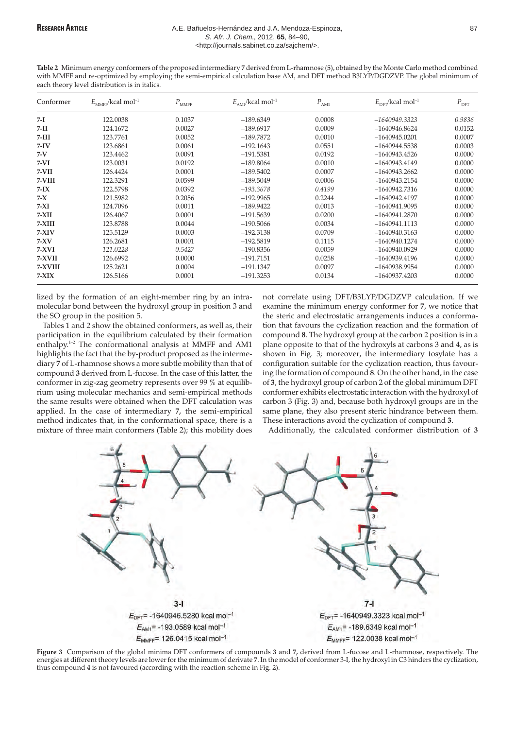### RESEARCH ARTICLE **A.E. Bañuelos-Hernández and J.A. Mendoza-Espinoza**, **B. B. 87** 87 S. Afr. J. Chem., 2012, **65**, 84–90, <http://journals.sabinet.co.za/sajchem/>.

**Table 2** Minimum energy conformers of the proposed intermediary **7** derived from L-rhamnose (**5**), obtained by the Monte Carlo method combined with MMFF and re-optimized by employing the semi-empirical calculation base AM<sub>1</sub> and DFT method B3LYP/DGDZVP. The global minimum of each theory level distribution is in italics.

| Conformer | $E_{\text{MMFF}}$ /kcal mol <sup>-1</sup> | $P_{\rm MMFF}$ | $E_{\text{AM}}$ /kcal mol <sup>-1</sup> | $P_{\rm AM1}$ | $E_{\text{DFT}}$ /kcal mol <sup>-1</sup> | $P_{\rm DFT}$ |
|-----------|-------------------------------------------|----------------|-----------------------------------------|---------------|------------------------------------------|---------------|
| 7-I       | 122,0038                                  | 0.1037         | $-189.6349$                             | 0.0008        | $-1640949.3323$                          | 0.9836        |
| 7-II      | 124.1672                                  | 0.0027         | $-189.6917$                             | 0.0009        | $-1640946.8624$                          | 0.0152        |
| $7-III$   | 123.7761                                  | 0.0052         | $-189.7872$                             | 0.0010        | $-1640945.0201$                          | 0.0007        |
| $7-IV$    | 123.6861                                  | 0.0061         | $-192.1643$                             | 0.0551        | $-1640944.5538$                          | 0.0003        |
| $7-V$     | 123.4462                                  | 0.0091         | $-191.5381$                             | 0.0192        | $-1640943.4526$                          | 0.0000        |
| $7-VI$    | 123.0031                                  | 0.0192         | $-189.8064$                             | 0.0010        | $-1640943.4149$                          | 0.0000        |
| $7-VII$   | 126.4424                                  | 0.0001         | $-189.5402$                             | 0.0007        | $-1640943.2662$                          | 0.0000        |
| 7-VIII    | 122.3291                                  | 0.0599         | $-189.5049$                             | 0.0006        | -1640943.2154                            | 0.0000        |
| $7-IX$    | 122.5798                                  | 0.0392         | $-193.3678$                             | 0.4199        | $-1640942.7316$                          | 0.0000        |
| $7 - X$   | 121.5982                                  | 0.2056         | $-192.9965$                             | 0.2244        | $-1640942.4197$                          | 0.0000        |
| $7-XI$    | 124.7096                                  | 0.0011         | $-189.9422$                             | 0.0013        | $-1640941.9095$                          | 0.0000        |
| $7-XII$   | 126.4067                                  | 0.0001         | $-191.5639$                             | 0.0200        | $-1640941.2870$                          | 0.0000        |
| $7-XIII$  | 123.8788                                  | 0.0044         | $-190.5066$                             | 0.0034        | $-1640941.1113$                          | 0.0000        |
| $7-XIV$   | 125.5129                                  | 0.0003         | $-192.3138$                             | 0.0709        | $-1640940.3163$                          | 0.0000        |
| $7-XV$    | 126.2681                                  | 0.0001         | $-192.5819$                             | 0.1115        | $-1640940.1274$                          | 0.0000        |
| $7-XVI$   | 121.0228                                  | 0.5427         | $-190.8356$                             | 0.0059        | $-1640940.0929$                          | 0.0000        |
| 7-XVII    | 126.6992                                  | 0.0000         | $-191.7151$                             | 0.0258        | $-1640939.4196$                          | 0.0000        |
| 7-XVIII   | 125.2621                                  | 0.0004         | $-191.1347$                             | 0.0097        | $-1640938.9954$                          | 0.0000        |
| $7-XIX$   | 126.5166                                  | 0.0001         | $-191.3253$                             | 0.0134        | $-1640937.4203$                          | 0.0000        |

lized by the formation of an eight-member ring by an intramolecular bond between the hydroxyl group in position 3 and the SO group in the position 5.

Tables 1 and 2 show the obtained conformers, as well as, their participation in the equilibrium calculated by their formation enthalpy.1–2 The conformational analysis at MMFF and AM1 highlights the fact that the by-product proposed as the intermediary **7** of L-rhamnose shows a more subtle mobility than that of compound **3** derived from L-fucose. In the case of this latter, the conformer in zig-zag geometry represents over 99 % at equilibrium using molecular mechanics and semi-empirical methods the same results were obtained when the DFT calculation was applied. In the case of intermediary **7,** the semi-empirical method indicates that, in the conformational space, there is a mixture of three main conformers (Table 2); this mobility does

not correlate using DFT/B3LYP/DGDZVP calculation. If we examine the minimum energy conformer for **7**, we notice that the steric and electrostatic arrangements induces a conformation that favours the cyclization reaction and the formation of compound **8**. The hydroxyl group at the carbon 2 position is in a plane opposite to that of the hydroxyls at carbons 3 and 4, as is shown in Fig. 3; moreover, the intermediary tosylate has a configuration suitable for the cyclization reaction, thus favouring the formation of compound **8**. On the other hand, in the case of **3**, the hydroxyl group of carbon 2 of the global minimum DFT conformer exhibits electrostatic interaction with the hydroxyl of carbon 3 (Fig. 3) and, because both hydroxyl groups are in the same plane, they also present steric hindrance between them. These interactions avoid the cyclization of compound **3**.

Additionally, the calculated conformer distribution of **3**



**Figure 3** Comparison of the global minima DFT conformers of compounds **3** and **7,** derived from L-fucose and L-rhamnose, respectively. The energies at different theory levels are lower for the minimum of derivate **7**. In the model of conformer 3-I, the hydroxyl in C3 hinders the cyclization, thus compound **4** is not favoured (according with the reaction scheme in Fig. 2).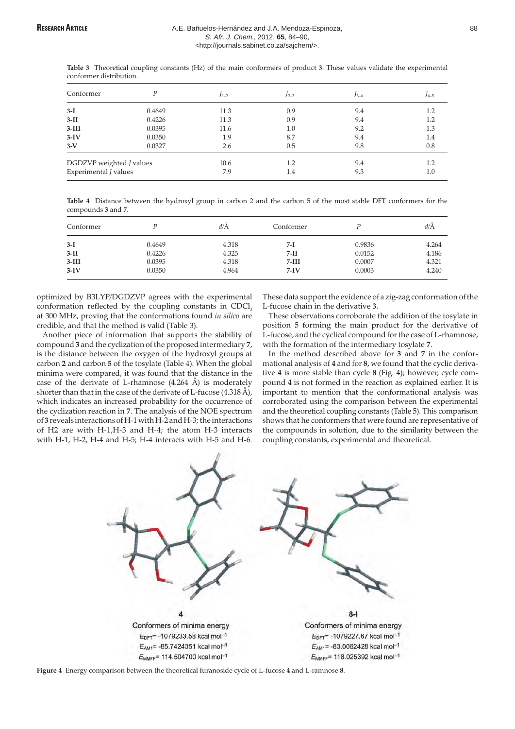**Table 3** Theoretical coupling constants (Hz) of the main conformers of product **3**. These values validate the experimental conformer distribution.

| Conformer                |        | $J_{1-2}$ | $J_{2-3}$ | $13-4$ | $J_{4-5}$ |
|--------------------------|--------|-----------|-----------|--------|-----------|
| $3-I$                    | 0.4649 | 11.3      | 0.9       | 9.4    | 1.2       |
| $3-II$                   | 0.4226 | 11.3      | 0.9       | 9.4    | 1.2       |
| $3-III$                  | 0.0395 | 11.6      | 1.0       | 9.2    | 1.3       |
| $3-IV$                   | 0.0350 | 1.9       | 8.7       | 9.4    | 1.4       |
| $3-V$                    | 0.0327 | 2.6       | 0.5       | 9.8    | 0.8       |
| DGDZVP weighted J values |        | 10.6      | 1.2       | 9.4    | 1.2       |
| Experimental J values    |        | 7.9       | 1.4       | 9.3    | 1.0       |

**Table 4** Distance between the hydroxyl group in carbon 2 and the carbon 5 of the most stable DFT conformers for the compounds **3** and **7**.

| Conformer |        | $d/\text{\AA}$ | Conformer |        | d/A   |
|-----------|--------|----------------|-----------|--------|-------|
| $3-I$     | 0.4649 | 4.318          | 7-I       | 0.9836 | 4.264 |
| $3-II$    | 0.4226 | 4.325          | $7-II$    | 0.0152 | 4.186 |
| $3-III$   | 0.0395 | 4.318          | 7-III     | 0.0007 | 4.321 |
| $3-IV$    | 0.0350 | 4.964          | $7-IV$    | 0.0003 | 4.240 |

optimized by B3LYP/DGDZVP agrees with the experimental conformation reflected by the coupling constants in  $CDCI<sub>3</sub>$ at 300 MHz, proving that the conformations found *in silico* are credible, and that the method is valid (Table 3).

Another piece of information that supports the stability of compound **3** and the cyclization of the proposed intermediary **7**, is the distance between the oxygen of the hydroxyl groups at carbon **2** and carbon **5** of the tosylate (Table 4). When the global minima were compared, it was found that the distance in the case of the derivate of L-rhamnose  $(4.264 \text{ Å})$  is moderately shorter than that in the case of the derivate of L-fucose (4.318 Å), which indicates an increased probability for the occurrence of the cyclization reaction in **7**. The analysis of the NOE spectrum of **3** reveals interactions of H-1 with H-2 and H-3; the interactions of H2 are with H-1,H-3 and H-4; the atom H-3 interacts with H-1, H-2, H-4 and H-5; H-4 interacts with H-5 and H-6.

These data support the evidence of a zig-zag conformation of the L-fucose chain in the derivative **3**.

These observations corroborate the addition of the tosylate in position 5 forming the main product for the derivative of L-fucose, and the cyclical compound for the case of L-rhamnose, with the formation of the intermediary tosylate **7**.

In the method described above for **3** and **7** in the conformational analysis of **4** and for **8**, we found that the cyclic derivative **4** is more stable than cycle **8** (Fig. 4); however, cycle compound **4** is not formed in the reaction as explained earlier. It is important to mention that the conformational analysis was corroborated using the comparison between the experimental and the theoretical coupling constants (Table 5). This comparison shows that he conformers that were found are representative of the compounds in solution, due to the similarity between the coupling constants, experimental and theoretical.



**Figure 4** Energy comparison between the theoretical furanoside cycle of L-fucose **4** and L-ramnose **8**.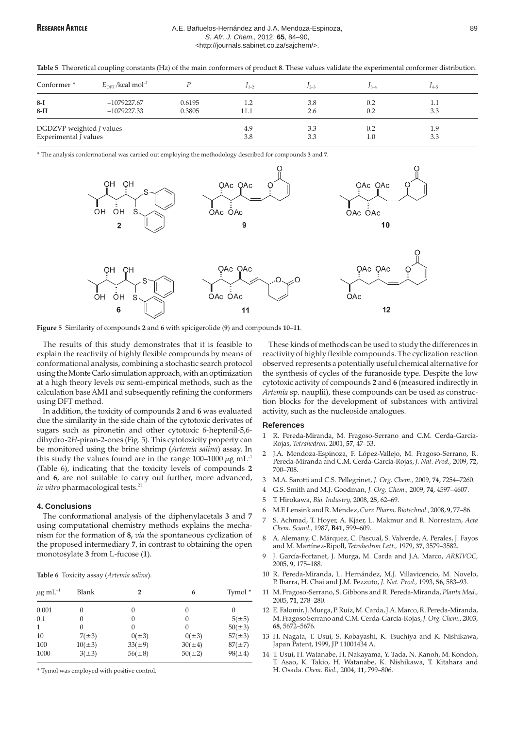### RESEARCH ARTICLE **A.E. Bañuelos-Hernández and J.A. Mendoza-Espinoza**, **A.E. 89** 89 S. Afr. J. Chem., 2012, **65**, 84–90, <http://journals.sabinet.co.za/sajchem/>.

|  |  |  |  |  | Table 5 Theoretical coupling constants (Hz) of the main conformers of product 8. These values validate the experimental conformer distribution. |  |
|--|--|--|--|--|-------------------------------------------------------------------------------------------------------------------------------------------------|--|
|--|--|--|--|--|-------------------------------------------------------------------------------------------------------------------------------------------------|--|

| Conformer <sup>*</sup>   | $E_{\text{DFT}}$ /kcal mol <sup>-1</sup> |        | $1 - 2$ | $J_{2-3}$ | ⊿ 2 | $14 - 5$ |  |
|--------------------------|------------------------------------------|--------|---------|-----------|-----|----------|--|
| $8-I$                    | $-1079227.67$                            | 0.6195 | 1.2     | 3.8       | 0.2 | 1.1      |  |
| $8-II$                   | $-1079227.33$                            | 0.3805 | 11.1    | 2.6       | 0.2 | 3.3      |  |
| DGDZVP weighted J values |                                          |        | 4.9     | 3.3       | 0.2 | 1.9      |  |
| Experimental J values    |                                          |        | 3.8     | 3.3       | 1.0 | 3.3      |  |

\* The analysis conformational was carried out employing the methodology described for compounds **3** and **7**.



**Figure 5** Similarity of compounds **2** and **6** with spicigerolide (**9**) and compounds **10**–**11**.

The results of this study demonstrates that it is feasible to explain the reactivity of highly flexible compounds by means of conformational analysis, combining a stochastic search protocol using the Monte Carlo simulation approach, with an optimization at a high theory levels *via* semi-empirical methods, such as the calculation base AM1 and subsequently refining the conformers using DFT method.

In addition, the toxicity of compounds **2** and **6** was evaluated due the similarity in the side chain of the cytotoxic derivates of sugars such as pironetin and other cytotoxic 6-heptenil-5,6 dihydro-2*H*-piran-2-ones (Fig. 5). This cytotoxicity property can be monitored using the brine shrimp (*Artemia salina*) assay. In this study the values found are in the range 100–1000  $\mu$ g mL<sup>-1</sup> (Table 6), indicating that the toxicity levels of compounds **2** and **6**, are not suitable to carry out further, more advanced, *in vitro* pharmacological tests.<sup>21</sup>

### **4. Conclusions**

The conformational analysis of the diphenylacetals **3** and **7** using computational chemistry methods explains the mechanism for the formation of **8,** *via* the spontaneous cyclization of the proposed intermediary **7**, in contrast to obtaining the open monotosylate **3** from L-fucose (**1**).

| $\mu{\rm g\,mL^{-1}}$ | Blank         | 2           | 6           | Tymol *     |
|-----------------------|---------------|-------------|-------------|-------------|
| 0.001                 | $\mathcal{O}$ | $\theta$    | $\Omega$    | $\theta$    |
| 0.1                   |               | $\theta$    | $\theta$    | $5(\pm 5)$  |
|                       | $\mathcal{O}$ | $\theta$    | $\theta$    | $50(\pm 3)$ |
| 10                    | $7(\pm 3)$    | $0(\pm 3)$  | $0(\pm 3)$  | $57(\pm 3)$ |
| 100                   | $10(\pm 3)$   | $33(\pm 9)$ | $30(\pm 4)$ | $87(\pm 7)$ |
| 1000                  | $3(\pm 3)$    | $56(\pm 8)$ | $50(\pm 2)$ | $98(\pm 4)$ |

\* Tymol was employed with positive control.

These kinds of methods can be used to study the differences in reactivity of highly flexible compounds. The cyclization reaction observed represents a potentially useful chemical alternative for the synthesis of cycles of the furanoside type. Despite the low cytotoxic activity of compounds **2** and **6** (measured indirectly in *Artemia* sp. nauplii), these compounds can be used as construction blocks for the development of substances with antiviral activity, such as the nucleoside analogues.

### **References**

- 1 R. Pereda-Miranda, M. Fragoso-Serrano and C.M. Cerda-García-Rojas, *Tetrahedron,* 2001, **57**, 47–53.
- 2 J.A. Mendoza-Espinoza, F. López-Vallejo, M. Fragoso-Serrano, R. Pereda-Miranda and C.M. Cerda-García-Rojas, *J. Nat. Prod.,* 2009, **72**, 700–708.
- 3 M.A. Sarotti and C.S. Pellegrinet, *J. Org. Chem.,* 2009, **74**, 7254–7260.
- 4 G.S. Smith and M.J. Goodman, *J. Org. Chem.,* 2009, **74**, 4597–4607.
- 5 T. Hirokawa, *Bio. Industry,* 2008, **25**, 62–69.
- 6 M.F. Lensink and R. Méndez,*Curr. Pharm. Biotechnol.,* 2008, **9**, 77–86.
- 7 S. Achmad, T. Hoyer, A. Kjaer, L. Makmur and R. Norrestam, *Acta Chem. Scand.,* 1987, **B41**, 599–609.
- 8 A. Alemany, C. Márquez, C. Pascual, S. Valverde, A. Perales, J. Fayos and M. Martínez-Ripoll, *Tetrahedron Lett.,* 1979, **37**, 3579–3582.
- 9 J. García-Fortanet, J. Murga, M. Carda and J.A. Marco, *ARKIVOC,* 2005, **9**, 175–188.
- 10 R. Pereda-Miranda, L. Hernández, M.J. Villavicencio, M. Novelo, P. Ibarra, H. Chai and J.M. Pezzuto, *J. Nat. Prod.,* 1993, **56**, 583–93.
- 11 M. Fragoso-Serrano, S. Gibbons and R. Pereda-Miranda, *Planta Med.,* 2005, **71**, 278–280.
- 12 E. Falomir, J. Murga, P. Ruíz, M. Carda, J.A. Marco, R. Pereda-Miranda, M. Fragoso Serrano and C.M. Cerda-García-Rojas,*J. Org. Chem.,* 2003, **68**, 5672–5676.
- 13 H. Nagata, T. Usui, S. Kobayashi, K. Tsuchiya and K. Nishikawa, Japan Patent, 1999, JP 11001434 A.
- 14 T. Usui, H. Watanabe, H. Nakayama, Y. Tada, N. Kanoh, M. Kondoh, T. Asao, K. Takio, H. Watanabe, K. Nishikawa, T. Kitahara and H. Osada. *Chem. Biol.,* 2004, **11**, 799–806.